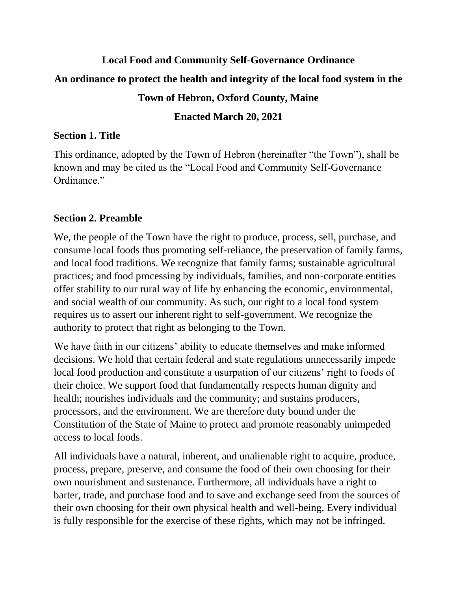# **Local Food and Community Self-Governance Ordinance An ordinance to protect the health and integrity of the local food system in the Town of Hebron, Oxford County, Maine**

## **Enacted March 20, 2021**

## **Section 1. Title**

This ordinance, adopted by the Town of Hebron (hereinafter "the Town"), shall be known and may be cited as the "Local Food and Community Self-Governance Ordinance."

# **Section 2. Preamble**

We, the people of the Town have the right to produce, process, sell, purchase, and consume local foods thus promoting self-reliance, the preservation of family farms, and local food traditions. We recognize that family farms; sustainable agricultural practices; and food processing by individuals, families, and non-corporate entities offer stability to our rural way of life by enhancing the economic, environmental, and social wealth of our community. As such, our right to a local food system requires us to assert our inherent right to self-government. We recognize the authority to protect that right as belonging to the Town.

We have faith in our citizens' ability to educate themselves and make informed decisions. We hold that certain federal and state regulations unnecessarily impede local food production and constitute a usurpation of our citizens' right to foods of their choice. We support food that fundamentally respects human dignity and health; nourishes individuals and the community; and sustains producers, processors, and the environment. We are therefore duty bound under the Constitution of the State of Maine to protect and promote reasonably unimpeded access to local foods.

All individuals have a natural, inherent, and unalienable right to acquire, produce, process, prepare, preserve, and consume the food of their own choosing for their own nourishment and sustenance. Furthermore, all individuals have a right to barter, trade, and purchase food and to save and exchange seed from the sources of their own choosing for their own physical health and well-being. Every individual is fully responsible for the exercise of these rights, which may not be infringed.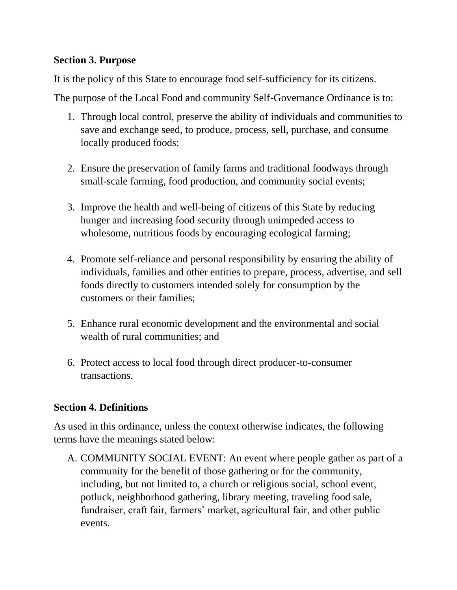## **Section 3. Purpose**

It is the policy of this State to encourage food self-sufficiency for its citizens.

The purpose of the Local Food and community Self-Governance Ordinance is to:

- 1. Through local control, preserve the ability of individuals and communities to save and exchange seed, to produce, process, sell, purchase, and consume locally produced foods;
- 2. Ensure the preservation of family farms and traditional foodways through small-scale farming, food production, and community social events;
- 3. Improve the health and well-being of citizens of this State by reducing hunger and increasing food security through unimpeded access to wholesome, nutritious foods by encouraging ecological farming;
- 4. Promote self-reliance and personal responsibility by ensuring the ability of individuals, families and other entities to prepare, process, advertise, and sell foods directly to customers intended solely for consumption by the customers or their families;
- 5. Enhance rural economic development and the environmental and social wealth of rural communities; and
- 6. Protect access to local food through direct producer-to-consumer transactions.

## **Section 4. Definitions**

As used in this ordinance, unless the context otherwise indicates, the following terms have the meanings stated below:

A. COMMUNITY SOCIAL EVENT: An event where people gather as part of a community for the benefit of those gathering or for the community, including, but not limited to, a church or religious social, school event, potluck, neighborhood gathering, library meeting, traveling food sale, fundraiser, craft fair, farmers' market, agricultural fair, and other public events.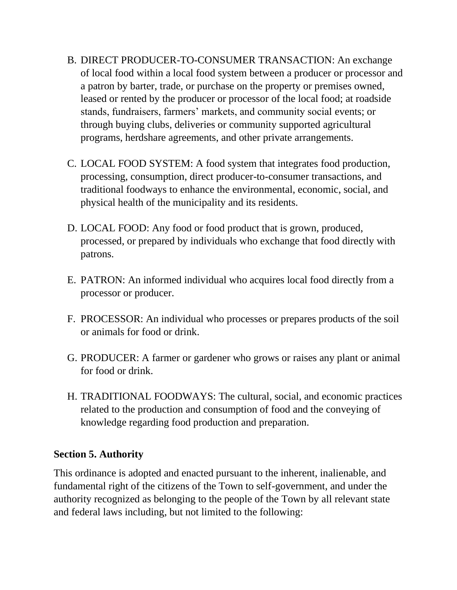- B. DIRECT PRODUCER-TO-CONSUMER TRANSACTION: An exchange of local food within a local food system between a producer or processor and a patron by barter, trade, or purchase on the property or premises owned, leased or rented by the producer or processor of the local food; at roadside stands, fundraisers, farmers' markets, and community social events; or through buying clubs, deliveries or community supported agricultural programs, herdshare agreements, and other private arrangements.
- C. LOCAL FOOD SYSTEM: A food system that integrates food production, processing, consumption, direct producer-to-consumer transactions, and traditional foodways to enhance the environmental, economic, social, and physical health of the municipality and its residents.
- D. LOCAL FOOD: Any food or food product that is grown, produced, processed, or prepared by individuals who exchange that food directly with patrons.
- E. PATRON: An informed individual who acquires local food directly from a processor or producer.
- F. PROCESSOR: An individual who processes or prepares products of the soil or animals for food or drink.
- G. PRODUCER: A farmer or gardener who grows or raises any plant or animal for food or drink.
- H. TRADITIONAL FOODWAYS: The cultural, social, and economic practices related to the production and consumption of food and the conveying of knowledge regarding food production and preparation.

#### **Section 5. Authority**

This ordinance is adopted and enacted pursuant to the inherent, inalienable, and fundamental right of the citizens of the Town to self-government, and under the authority recognized as belonging to the people of the Town by all relevant state and federal laws including, but not limited to the following: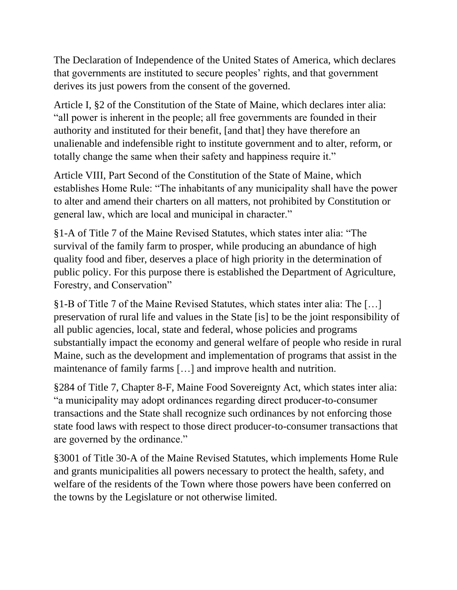The Declaration of Independence of the United States of America, which declares that governments are instituted to secure peoples' rights, and that government derives its just powers from the consent of the governed.

Article I, §2 of the Constitution of the State of Maine, which declares inter alia: "all power is inherent in the people; all free governments are founded in their authority and instituted for their benefit, [and that] they have therefore an unalienable and indefensible right to institute government and to alter, reform, or totally change the same when their safety and happiness require it."

Article VIII, Part Second of the Constitution of the State of Maine, which establishes Home Rule: "The inhabitants of any municipality shall have the power to alter and amend their charters on all matters, not prohibited by Constitution or general law, which are local and municipal in character."

§1-A of Title 7 of the Maine Revised Statutes, which states inter alia: "The survival of the family farm to prosper, while producing an abundance of high quality food and fiber, deserves a place of high priority in the determination of public policy. For this purpose there is established the Department of Agriculture, Forestry, and Conservation"

§1-B of Title 7 of the Maine Revised Statutes, which states inter alia: The […] preservation of rural life and values in the State [is] to be the joint responsibility of all public agencies, local, state and federal, whose policies and programs substantially impact the economy and general welfare of people who reside in rural Maine, such as the development and implementation of programs that assist in the maintenance of family farms […] and improve health and nutrition.

§284 of Title 7, Chapter 8-F, Maine Food Sovereignty Act, which states inter alia: "a municipality may adopt ordinances regarding direct producer-to-consumer transactions and the State shall recognize such ordinances by not enforcing those state food laws with respect to those direct producer-to-consumer transactions that are governed by the ordinance."

§3001 of Title 30-A of the Maine Revised Statutes, which implements Home Rule and grants municipalities all powers necessary to protect the health, safety, and welfare of the residents of the Town where those powers have been conferred on the towns by the Legislature or not otherwise limited.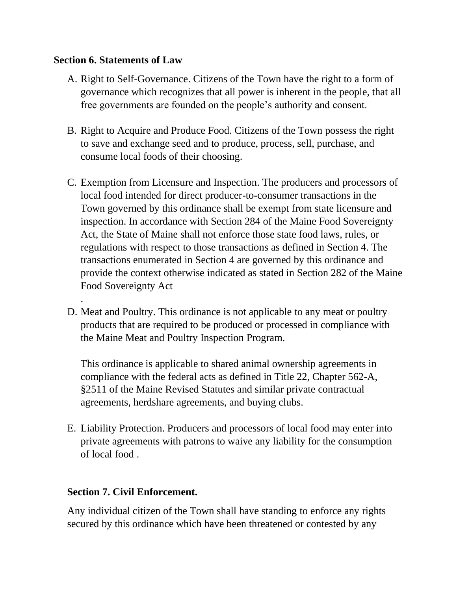#### **Section 6. Statements of Law**

.

- A. Right to Self-Governance. Citizens of the Town have the right to a form of governance which recognizes that all power is inherent in the people, that all free governments are founded on the people's authority and consent.
- B. Right to Acquire and Produce Food. Citizens of the Town possess the right to save and exchange seed and to produce, process, sell, purchase, and consume local foods of their choosing.
- C. Exemption from Licensure and Inspection. The producers and processors of local food intended for direct producer-to-consumer transactions in the Town governed by this ordinance shall be exempt from state licensure and inspection. In accordance with Section 284 of the Maine Food Sovereignty Act, the State of Maine shall not enforce those state food laws, rules, or regulations with respect to those transactions as defined in Section 4. The transactions enumerated in Section 4 are governed by this ordinance and provide the context otherwise indicated as stated in Section 282 of the Maine Food Sovereignty Act
- D. Meat and Poultry. This ordinance is not applicable to any meat or poultry products that are required to be produced or processed in compliance with the Maine Meat and Poultry Inspection Program.

This ordinance is applicable to shared animal ownership agreements in compliance with the federal acts as defined in Title 22, Chapter 562-A, §2511 of the Maine Revised Statutes and similar private contractual agreements, herdshare agreements, and buying clubs.

E. Liability Protection. Producers and processors of local food may enter into private agreements with patrons to waive any liability for the consumption of local food .

## **Section 7. Civil Enforcement.**

Any individual citizen of the Town shall have standing to enforce any rights secured by this ordinance which have been threatened or contested by any